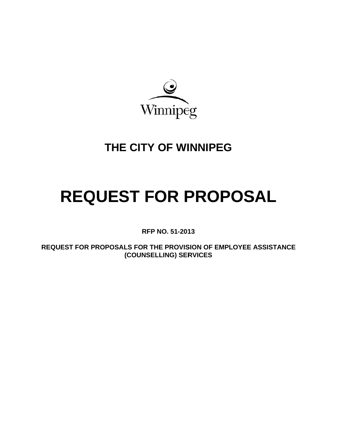

# **THE CITY OF WINNIPEG**

# **REQUEST FOR PROPOSAL**

**RFP NO. 51-201 13** 

**REQUE ST FOR P PROPOSAL LS FOR TH HE PROVIS SION OF EM MPLOYEE ASSISTANCE ( (COUNSEL LLING) SER RVICES**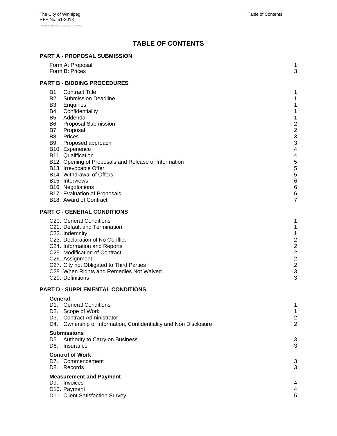# **TABLE OF CONTENTS**

#### **PART A - PROPOSAL SUBMISSION**

|            | Form A: Proposal<br>Form B: Prices                                                                                                                                                                                                                                                                                                                                                                                                                                                 | 1<br>3                                                                                                                             |
|------------|------------------------------------------------------------------------------------------------------------------------------------------------------------------------------------------------------------------------------------------------------------------------------------------------------------------------------------------------------------------------------------------------------------------------------------------------------------------------------------|------------------------------------------------------------------------------------------------------------------------------------|
|            | <b>PART B - BIDDING PROCEDURES</b>                                                                                                                                                                                                                                                                                                                                                                                                                                                 |                                                                                                                                    |
|            | <b>B1.</b> Contract Title<br><b>B2.</b> Submission Deadline<br>B3. Enquiries<br>B4. Confidentiality<br>B5. Addenda<br><b>B6.</b> Proposal Submission<br>B7. Proposal<br>B8. Prices<br>B9. Proposed approach<br>B10. Experience<br>B11. Qualification<br>B12. Opening of Proposals and Release of Information<br>B13. Irrevocable Offer<br>B14. Withdrawal of Offers<br>B <sub>15</sub> . Interviews<br>B16. Negotiations<br>B17. Evaluation of Proposals<br>B18. Award of Contract | 1<br>1<br>1<br>1<br>1<br>$\overline{\mathbf{c}}$<br>$\overline{\mathbf{c}}$<br>3<br>3<br>4<br>4<br>5<br>5<br>5<br>6<br>6<br>6<br>7 |
|            | <b>PART C - GENERAL CONDITIONS</b>                                                                                                                                                                                                                                                                                                                                                                                                                                                 |                                                                                                                                    |
|            | C20. General Conditions<br>C21. Default and Termination<br>C22. Indemnity<br>C23. Declaration of No Conflict<br>C24. Information and Reports<br>C25. Modification of Contract<br>C26. Assignment<br>C27. City not Obligated to Third Parties<br>C28. When Rights and Remedies Not Waived<br>C29. Definitions                                                                                                                                                                       | 1<br>1<br>1<br>$\frac{2}{2}$<br>$\overline{a}$<br>$\overline{c}$<br>$\overline{c}$<br>3<br>3                                       |
|            | PART D - SUPPLEMENTAL CONDITIONS                                                                                                                                                                                                                                                                                                                                                                                                                                                   |                                                                                                                                    |
| D4.        | General<br>D1. General Conditions<br>D2. Scope of Work<br>D3. Contract Administrator<br>Ownership of Information, Confidentiality and Non Disclosure                                                                                                                                                                                                                                                                                                                               | 1<br>1<br>$\overline{c}$<br>$\overline{2}$                                                                                         |
| D5.<br>D6. | <b>Submissions</b><br>Authority to Carry on Business<br>Insurance                                                                                                                                                                                                                                                                                                                                                                                                                  | 3<br>3                                                                                                                             |
|            | <b>Control of Work</b><br>D7. Commencement<br>D8. Records                                                                                                                                                                                                                                                                                                                                                                                                                          | 3<br>3                                                                                                                             |
|            | <b>Measurement and Payment</b><br>D9. Invoices<br>D10. Payment<br>D11. Client Satisfaction Survey                                                                                                                                                                                                                                                                                                                                                                                  | 4<br>4<br>5                                                                                                                        |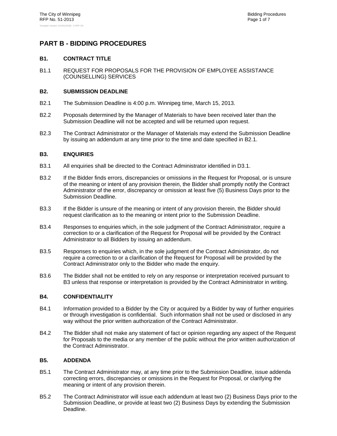### **PART B - BIDDING PROCEDURES**

#### **B1. CONTRACT TITLE**

B1.1 REQUEST FOR PROPOSALS FOR THE PROVISION OF EMPLOYEE ASSISTANCE (COUNSELLING) SERVICES

#### **B2. SUBMISSION DEADLINE**

- B2.1 The Submission Deadline is 4:00 p.m. Winnipeg time, March 15, 2013.
- B2.2 Proposals determined by the Manager of Materials to have been received later than the Submission Deadline will not be accepted and will be returned upon request.
- B2.3 The Contract Administrator or the Manager of Materials may extend the Submission Deadline by issuing an addendum at any time prior to the time and date specified in B2.1.

#### **B3. ENQUIRIES**

- B3.1 All enquiries shall be directed to the Contract Administrator identified in D3.1.
- B3.2 If the Bidder finds errors, discrepancies or omissions in the Request for Proposal, or is unsure of the meaning or intent of any provision therein, the Bidder shall promptly notify the Contract Administrator of the error, discrepancy or omission at least five (5) Business Days prior to the Submission Deadline.
- B3.3 If the Bidder is unsure of the meaning or intent of any provision therein, the Bidder should request clarification as to the meaning or intent prior to the Submission Deadline.
- B3.4 Responses to enquiries which, in the sole judgment of the Contract Administrator, require a correction to or a clarification of the Request for Proposal will be provided by the Contract Administrator to all Bidders by issuing an addendum.
- B3.5 Responses to enquiries which, in the sole judgment of the Contract Administrator, do not require a correction to or a clarification of the Request for Proposal will be provided by the Contract Administrator only to the Bidder who made the enquiry.
- B3.6 The Bidder shall not be entitled to rely on any response or interpretation received pursuant to B3 unless that response or interpretation is provided by the Contract Administrator in writing.

#### **B4. CONFIDENTIALITY**

- B4.1 Information provided to a Bidder by the City or acquired by a Bidder by way of further enquiries or through investigation is confidential. Such information shall not be used or disclosed in any way without the prior written authorization of the Contract Administrator.
- B4.2 The Bidder shall not make any statement of fact or opinion regarding any aspect of the Request for Proposals to the media or any member of the public without the prior written authorization of the Contract Administrator.

#### **B5. ADDENDA**

- B5.1 The Contract Administrator may, at any time prior to the Submission Deadline, issue addenda correcting errors, discrepancies or omissions in the Request for Proposal, or clarifying the meaning or intent of any provision therein.
- B5.2 The Contract Administrator will issue each addendum at least two (2) Business Days prior to the Submission Deadline, or provide at least two (2) Business Days by extending the Submission Deadline.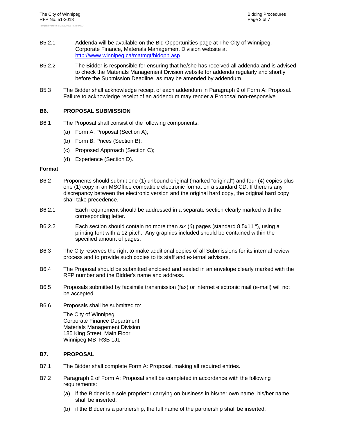- B5.2.1 Addenda will be available on the Bid Opportunities page at The City of Winnipeg, Corporate Finance, Materials Management Division website at http://www.winnipeg.ca/matmgt/bidopp.asp
- B5.2.2 The Bidder is responsible for ensuring that he/she has received all addenda and is advised to check the Materials Management Division website for addenda regularly and shortly before the Submission Deadline, as may be amended by addendum.
- B5.3 The Bidder shall acknowledge receipt of each addendum in Paragraph 9 of Form A: Proposal. Failure to acknowledge receipt of an addendum may render a Proposal non-responsive.

#### **B6. PROPOSAL SUBMISSION**

- B6.1 The Proposal shall consist of the following components:
	- (a) Form A: Proposal (Section A);
	- (b) Form B: Prices (Section B);
	- (c) Proposed Approach (Section C);
	- (d) Experience (Section D).

#### **Format**

- B6.2 Proponents should submit one (1) unbound original (marked "original") and four (*4*) copies plus one (1) copy in an MSOffice compatible electronic format on a standard CD. If there is any discrepancy between the electronic version and the original hard copy, the original hard copy shall take precedence.
- B6.2.1 Each requirement should be addressed in a separate section clearly marked with the corresponding letter.
- B6.2.2 Each section should contain no more than *six* (*6*) pages (standard 8.5x11 "), using a printing font with a 12 pitch. Any graphics included should be contained within the specified amount of pages.
- B6.3 The City reserves the right to make additional copies of all Submissions for its internal review process and to provide such copies to its staff and external advisors.
- B6.4 The Proposal should be submitted enclosed and sealed in an envelope clearly marked with the RFP number and the Bidder's name and address.
- B6.5 Proposals submitted by facsimile transmission (fax) or internet electronic mail (e-mail) will not be accepted.
- B6.6 Proposals shall be submitted to:

The City of Winnipeg Corporate Finance Department Materials Management Division 185 King Street, Main Floor Winnipeg MB R3B 1J1

#### **B7. PROPOSAL**

- B7.1 The Bidder shall complete Form A: Proposal, making all required entries.
- B7.2 Paragraph 2 of Form A: Proposal shall be completed in accordance with the following requirements:
	- (a) if the Bidder is a sole proprietor carrying on business in his/her own name, his/her name shall be inserted;
	- (b) if the Bidder is a partnership, the full name of the partnership shall be inserted;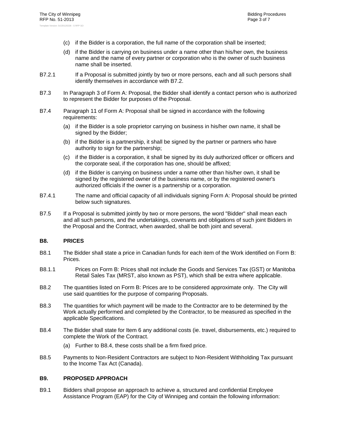- (c) if the Bidder is a corporation, the full name of the corporation shall be inserted;
- (d) if the Bidder is carrying on business under a name other than his/her own, the business name and the name of every partner or corporation who is the owner of such business name shall be inserted.
- B7.2.1 If a Proposal is submitted jointly by two or more persons, each and all such persons shall identify themselves in accordance with B7.2.
- B7.3 In Paragraph 3 of Form A: Proposal, the Bidder shall identify a contact person who is authorized to represent the Bidder for purposes of the Proposal.
- B7.4 Paragraph 11 of Form A: Proposal shall be signed in accordance with the following requirements:
	- (a) if the Bidder is a sole proprietor carrying on business in his/her own name, it shall be signed by the Bidder;
	- (b) if the Bidder is a partnership, it shall be signed by the partner or partners who have authority to sign for the partnership;
	- (c) if the Bidder is a corporation, it shall be signed by its duly authorized officer or officers and the corporate seal, if the corporation has one, should be affixed;
	- (d) if the Bidder is carrying on business under a name other than his/her own, it shall be signed by the registered owner of the business name, or by the registered owner's authorized officials if the owner is a partnership or a corporation.
- B7.4.1 The name and official capacity of all individuals signing Form A: Proposal should be printed below such signatures.
- B7.5 If a Proposal is submitted jointly by two or more persons, the word "Bidder" shall mean each and all such persons, and the undertakings, covenants and obligations of such joint Bidders in the Proposal and the Contract, when awarded, shall be both joint and several.

#### **B8. PRICES**

- B8.1 The Bidder shall state a price in Canadian funds for each item of the Work identified on Form B: **Prices**
- B8.1.1 Prices on Form B: Prices shall not include the Goods and Services Tax (GST) or Manitoba Retail Sales Tax (MRST, also known as PST), which shall be extra where applicable.
- B8.2 The quantities listed on Form B: Prices are to be considered approximate only. The City will use said quantities for the purpose of comparing Proposals.
- B8.3 The quantities for which payment will be made to the Contractor are to be determined by the Work actually performed and completed by the Contractor, to be measured as specified in the applicable Specifications.
- B8.4 The Bidder shall state for Item 6 any additional costs (ie. travel, disbursements, etc.) required to complete the Work of the Contract.
	- (a) Further to B8.4, these costs shall be a firm fixed price.
- B8.5 Payments to Non-Resident Contractors are subject to Non-Resident Withholding Tax pursuant to the Income Tax Act (Canada).

#### **B9. PROPOSED APPROACH**

B9.1 Bidders shall propose an approach to achieve a, structured and confidential Employee Assistance Program (EAP) for the City of Winnipeg and contain the following information: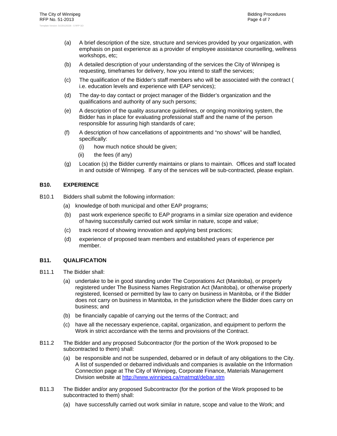- (a) A brief description of the size, structure and services provided by your organization, with emphasis on past experience as a provider of employee assistance counselling, wellness workshops, etc;
- (b) A detailed description of your understanding of the services the City of Winnipeg is requesting, timeframes for delivery, how you intend to staff the services;
- (c) The qualification of the Bidder's staff members who will be associated with the contract ( i.e. education levels and experience with EAP services);
- (d) The day-to day contact or project manager of the Bidder's organization and the qualifications and authority of any such persons;
- (e) A description of the quality assurance guidelines, or ongoing monitoring system, the Bidder has in place for evaluating professional staff and the name of the person responsible for assuring high standards of care;
- (f) A description of how cancellations of appointments and "no shows" will be handled, specifically:
	- (i) how much notice should be given;
	- (ii) the fees (if any)
- (g) Location (s) the Bidder currently maintains or plans to maintain. Offices and staff located in and outside of Winnipeg. If any of the services will be sub-contracted, please explain.

#### **B10. EXPERIENCE**

- B10.1 Bidders shall submit the following information:
	- (a) knowledge of both municipal and other EAP programs;
	- (b) past work experience specific to EAP programs in a similar size operation and evidence of having successfully carried out work similar in nature, scope and value;
	- (c) track record of showing innovation and applying best practices;
	- (d) experience of proposed team members and established years of experience per member.

#### **B11. QUALIFICATION**

- B11.1 The Bidder shall:
	- (a) undertake to be in good standing under The Corporations Act (Manitoba), or properly registered under The Business Names Registration Act (Manitoba), or otherwise properly registered, licensed or permitted by law to carry on business in Manitoba, or if the Bidder does not carry on business in Manitoba, in the jurisdiction where the Bidder does carry on business; and
	- (b) be financially capable of carrying out the terms of the Contract; and
	- (c) have all the necessary experience, capital, organization, and equipment to perform the Work in strict accordance with the terms and provisions of the Contract.
- B11.2 The Bidder and any proposed Subcontractor (for the portion of the Work proposed to be subcontracted to them) shall:
	- (a) be responsible and not be suspended, debarred or in default of any obligations to the City. A list of suspended or debarred individuals and companies is available on the Information Connection page at The City of Winnipeg, Corporate Finance, Materials Management Division website at http://www.winnipeg.ca/matmgt/debar.stm
- B11.3 The Bidder and/or any proposed Subcontractor (for the portion of the Work proposed to be subcontracted to them) shall:
	- (a) have successfully carried out work similar in nature, scope and value to the Work; and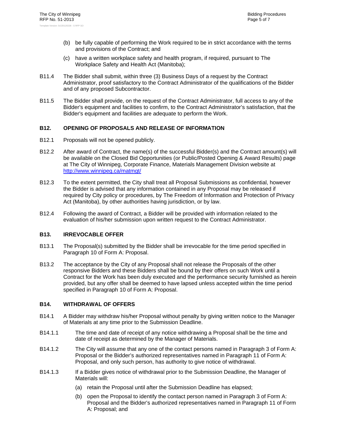- (b) be fully capable of performing the Work required to be in strict accordance with the terms and provisions of the Contract; and
- (c) have a written workplace safety and health program, if required, pursuant to The Workplace Safety and Health Act (Manitoba);
- B11.4 The Bidder shall submit, within three (3) Business Days of a request by the Contract Administrator, proof satisfactory to the Contract Administrator of the qualifications of the Bidder and of any proposed Subcontractor.
- B11.5 The Bidder shall provide, on the request of the Contract Administrator, full access to any of the Bidder's equipment and facilities to confirm, to the Contract Administrator's satisfaction, that the Bidder's equipment and facilities are adequate to perform the Work.

#### **B12. OPENING OF PROPOSALS AND RELEASE OF INFORMATION**

- B12.1 Proposals will not be opened publicly.
- B12.2 After award of Contract, the name(s) of the successful Bidder(s) and the Contract amount(s) will be available on the Closed Bid Opportunities (or Public/Posted Opening & Award Results) page at The City of Winnipeg, Corporate Finance, Materials Management Division website at http://www.winnipeg.ca/matmgt/
- B12.3 To the extent permitted, the City shall treat all Proposal Submissions as confidential, however the Bidder is advised that any information contained in any Proposal may be released if required by City policy or procedures, by The Freedom of Information and Protection of Privacy Act (Manitoba), by other authorities having jurisdiction, or by law.
- B12.4 Following the award of Contract, a Bidder will be provided with information related to the evaluation of his/her submission upon written request to the Contract Administrator.

#### **B13. IRREVOCABLE OFFER**

- B13.1 The Proposal(s) submitted by the Bidder shall be irrevocable for the time period specified in Paragraph 10 of Form A: Proposal.
- B13.2 The acceptance by the City of any Proposal shall not release the Proposals of the other responsive Bidders and these Bidders shall be bound by their offers on such Work until a Contract for the Work has been duly executed and the performance security furnished as herein provided, but any offer shall be deemed to have lapsed unless accepted within the time period specified in Paragraph 10 of Form A: Proposal.

#### **B14. WITHDRAWAL OF OFFERS**

- B14.1 A Bidder may withdraw his/her Proposal without penalty by giving written notice to the Manager of Materials at any time prior to the Submission Deadline.
- B14.1.1 The time and date of receipt of any notice withdrawing a Proposal shall be the time and date of receipt as determined by the Manager of Materials.
- B14.1.2 The City will assume that any one of the contact persons named in Paragraph 3 of Form A: Proposal or the Bidder's authorized representatives named in Paragraph 11 of Form A: Proposal, and only such person, has authority to give notice of withdrawal.
- B14.1.3 If a Bidder gives notice of withdrawal prior to the Submission Deadline, the Manager of Materials will:
	- (a) retain the Proposal until after the Submission Deadline has elapsed;
	- (b) open the Proposal to identify the contact person named in Paragraph 3 of Form A: Proposal and the Bidder's authorized representatives named in Paragraph 11 of Form A: Proposal; and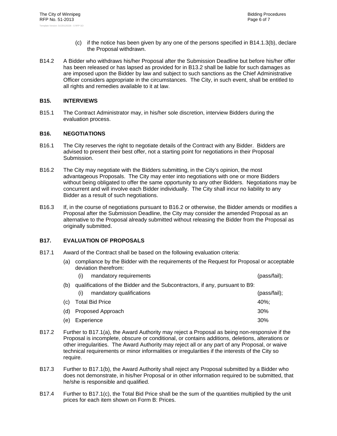- (c) if the notice has been given by any one of the persons specified in B14.1.3(b), declare the Proposal withdrawn.
- B14.2 A Bidder who withdraws his/her Proposal after the Submission Deadline but before his/her offer has been released or has lapsed as provided for in B13.2 shall be liable for such damages as are imposed upon the Bidder by law and subject to such sanctions as the Chief Administrative Officer considers appropriate in the circumstances. The City, in such event, shall be entitled to all rights and remedies available to it at law.

#### **B15. INTERVIEWS**

B15.1 The Contract Administrator may, in his/her sole discretion, interview Bidders during the evaluation process.

#### **B16. NEGOTIATIONS**

- B16.1 The City reserves the right to negotiate details of the Contract with any Bidder. Bidders are advised to present their best offer, not a starting point for negotiations in their Proposal Submission.
- B16.2 The City may negotiate with the Bidders submitting, in the City's opinion, the most advantageous Proposals. The City may enter into negotiations with one or more Bidders without being obligated to offer the same opportunity to any other Bidders. Negotiations may be concurrent and will involve each Bidder individually. The City shall incur no liability to any Bidder as a result of such negotiations.
- B16.3 If, in the course of negotiations pursuant to B16.2 or otherwise, the Bidder amends or modifies a Proposal after the Submission Deadline, the City may consider the amended Proposal as an alternative to the Proposal already submitted without releasing the Bidder from the Proposal as originally submitted.

#### **B17. EVALUATION OF PROPOSALS**

- B17.1 Award of the Contract shall be based on the following evaluation criteria:
	- (a) compliance by the Bidder with the requirements of the Request for Proposal or acceptable deviation therefrom:

|     | mandatory requirements<br>(i)                                                | (pass/fail); |
|-----|------------------------------------------------------------------------------|--------------|
| (b) | qualifications of the Bidder and the Subcontractors, if any, pursuant to B9: |              |
|     | mandatory qualifications<br>(i)                                              | (pass/fail); |
| (c) | <b>Total Bid Price</b>                                                       | $40\%$ :     |
| (d) | Proposed Approach                                                            | 30%          |
| (e) | Experience                                                                   | 30%          |

- B17.2 Further to B17.1(a), the Award Authority may reject a Proposal as being non-responsive if the Proposal is incomplete, obscure or conditional, or contains additions, deletions, alterations or other irregularities. The Award Authority may reject all or any part of any Proposal, or waive technical requirements or minor informalities or irregularities if the interests of the City so require.
- B17.3 Further to B17.1(b), the Award Authority shall reject any Proposal submitted by a Bidder who does not demonstrate, in his/her Proposal or in other information required to be submitted, that he/she is responsible and qualified.
- B17.4 Further to B17.1(c), the Total Bid Price shall be the sum of the quantities multiplied by the unit prices for each item shown on Form B: Prices.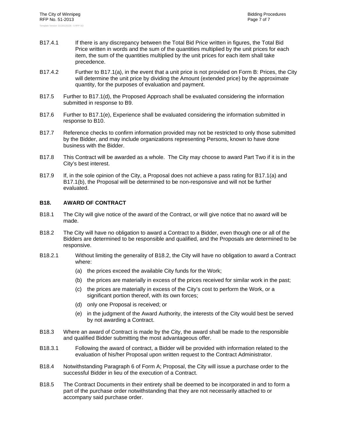- B17.4.1 If there is any discrepancy between the Total Bid Price written in figures, the Total Bid Price written in words and the sum of the quantities multiplied by the unit prices for each item, the sum of the quantities multiplied by the unit prices for each item shall take precedence.
- B17.4.2 Further to B17.1(a), in the event that a unit price is not provided on Form B: Prices, the City will determine the unit price by dividing the Amount (extended price) by the approximate quantity, for the purposes of evaluation and payment.
- B17.5 Further to B17.1(d), the Proposed Approach shall be evaluated considering the information submitted in response to B9.
- B17.6 Further to B17.1(e), Experience shall be evaluated considering the information submitted in response to B10.
- B17.7 Reference checks to confirm information provided may not be restricted to only those submitted by the Bidder, and may include organizations representing Persons, known to have done business with the Bidder.
- B17.8 This Contract will be awarded as a whole. The City may choose to award Part Two if it is in the City's best interest.
- B17.9 If, in the sole opinion of the City, a Proposal does not achieve a pass rating for B17.1(a) and B17.1(b), the Proposal will be determined to be non-responsive and will not be further evaluated.

#### **B18. AWARD OF CONTRACT**

- B18.1 The City will give notice of the award of the Contract, or will give notice that no award will be made.
- B18.2 The City will have no obligation to award a Contract to a Bidder, even though one or all of the Bidders are determined to be responsible and qualified, and the Proposals are determined to be responsive.
- B18.2.1 Without limiting the generality of B18.2, the City will have no obligation to award a Contract where:
	- (a) the prices exceed the available City funds for the Work;
	- (b) the prices are materially in excess of the prices received for similar work in the past;
	- (c) the prices are materially in excess of the City's cost to perform the Work, or a significant portion thereof, with its own forces;
	- (d) only one Proposal is received; or
	- (e) in the judgment of the Award Authority, the interests of the City would best be served by not awarding a Contract.
- B18.3 Where an award of Contract is made by the City, the award shall be made to the responsible and qualified Bidder submitting the most advantageous offer.
- B18.3.1 Following the award of contract, a Bidder will be provided with information related to the evaluation of his/her Proposal upon written request to the Contract Administrator.
- B18.4 Notwithstanding Paragraph 6 of Form A; Proposal, the City will issue a purchase order to the successful Bidder in lieu of the execution of a Contract.
- B18.5 The Contract Documents in their entirety shall be deemed to be incorporated in and to form a part of the purchase order notwithstanding that they are not necessarily attached to or accompany said purchase order.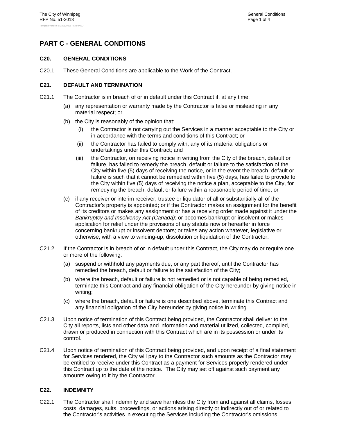# **PART C - GENERAL CONDITIONS**

#### **C20. GENERAL CONDITIONS**

C20.1 These General Conditions are applicable to the Work of the Contract.

#### **C21. DEFAULT AND TERMINATION**

- C21.1 The Contractor is in breach of or in default under this Contract if, at any time:
	- (a) any representation or warranty made by the Contractor is false or misleading in any material respect; or
	- (b) the City is reasonably of the opinion that:
		- (i) the Contractor is not carrying out the Services in a manner acceptable to the City or in accordance with the terms and conditions of this Contract; or
		- (ii) the Contractor has failed to comply with, any of its material obligations or undertakings under this Contract; and
		- (iii) the Contractor, on receiving notice in writing from the City of the breach, default or failure, has failed to remedy the breach, default or failure to the satisfaction of the City within five (5) days of receiving the notice, or in the event the breach, default or failure is such that it cannot be remedied within five (5) days, has failed to provide to the City within five (5) days of receiving the notice a plan, acceptable to the City, for remedying the breach, default or failure within a reasonable period of time; or
	- (c) if any receiver or interim receiver, trustee or liquidator of all or substantially all of the Contractor's property is appointed; or if the Contractor makes an assignment for the benefit of its creditors or makes any assignment or has a receiving order made against it under the *Bankruptcy and Insolvency Act (Canada)*; or becomes bankrupt or insolvent or makes application for relief under the provisions of any statute now or hereafter in force concerning bankrupt or insolvent debtors; or takes any action whatever, legislative or otherwise, with a view to winding-up, dissolution or liquidation of the Contractor.
- C21.2 If the Contractor is in breach of or in default under this Contract, the City may do or require one or more of the following:
	- (a) suspend or withhold any payments due, or any part thereof, until the Contractor has remedied the breach, default or failure to the satisfaction of the City;
	- (b) where the breach, default or failure is not remedied or is not capable of being remedied, terminate this Contract and any financial obligation of the City hereunder by giving notice in writing;
	- (c) where the breach, default or failure is one described above, terminate this Contract and any financial obligation of the City hereunder by giving notice in writing.
- C21.3 Upon notice of termination of this Contract being provided, the Contractor shall deliver to the City all reports, lists and other data and information and material utilized, collected, compiled, drawn or produced in connection with this Contract which are in its possession or under its control.
- C21.4 Upon notice of termination of this Contract being provided, and upon receipt of a final statement for Services rendered, the City will pay to the Contractor such amounts as the Contractor may be entitled to receive under this Contract as a payment for Services properly rendered under this Contract up to the date of the notice. The City may set off against such payment any amounts owing to it by the Contractor.

#### **C22. INDEMNITY**

C22.1 The Contractor shall indemnify and save harmless the City from and against all claims, losses, costs, damages, suits, proceedings, or actions arising directly or indirectly out of or related to the Contractor's activities in executing the Services including the Contractor's omissions,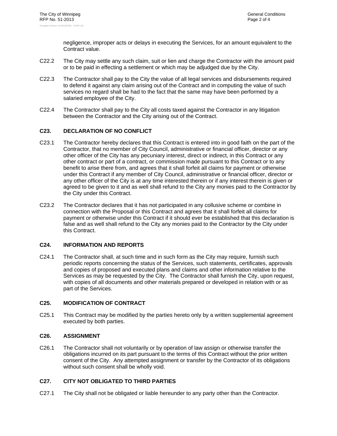negligence, improper acts or delays in executing the Services, for an amount equivalent to the Contract value.

- C22.2 The City may settle any such claim, suit or lien and charge the Contractor with the amount paid or to be paid in effecting a settlement or which may be adjudged due by the City.
- C22.3 The Contractor shall pay to the City the value of all legal services and disbursements required to defend it against any claim arising out of the Contract and in computing the value of such services no regard shall be had to the fact that the same may have been performed by a salaried employee of the City.
- C22.4 The Contractor shall pay to the City all costs taxed against the Contractor in any litigation between the Contractor and the City arising out of the Contract.

#### **C23. DECLARATION OF NO CONFLICT**

- C23.1 The Contractor hereby declares that this Contract is entered into in good faith on the part of the Contractor, that no member of City Council, administrative or financial officer, director or any other officer of the City has any pecuniary interest, direct or indirect, in this Contract or any other contract or part of a contract, or commission made pursuant to this Contract or to any benefit to arise there from, and agrees that it shall forfeit all claims for payment or otherwise under this Contract if any member of City Council, administrative or financial officer, director or any other officer of the City is at any time interested therein or if any interest therein is given or agreed to be given to it and as well shall refund to the City any monies paid to the Contractor by the City under this Contract.
- C23.2 The Contractor declares that it has not participated in any collusive scheme or combine in connection with the Proposal or this Contract and agrees that it shall forfeit all claims for payment or otherwise under this Contract if it should ever be established that this declaration is false and as well shall refund to the City any monies paid to the Contractor by the City under this Contract.

#### **C24. INFORMATION AND REPORTS**

C24.1 The Contractor shall, at such time and in such form as the City may require, furnish such periodic reports concerning the status of the Services, such statements, certificates, approvals and copies of proposed and executed plans and claims and other information relative to the Services as may be requested by the City. The Contractor shall furnish the City, upon request, with copies of all documents and other materials prepared or developed in relation with or as part of the Services.

#### **C25. MODIFICATION OF CONTRACT**

C25.1 This Contract may be modified by the parties hereto only by a written supplemental agreement executed by both parties.

#### **C26. ASSIGNMENT**

C26.1 The Contractor shall not voluntarily or by operation of law assign or otherwise transfer the obligations incurred on its part pursuant to the terms of this Contract without the prior written consent of the City. Any attempted assignment or transfer by the Contractor of its obligations without such consent shall be wholly void.

#### **C27. CITY NOT OBLIGATED TO THIRD PARTIES**

C27.1 The City shall not be obligated or liable hereunder to any party other than the Contractor.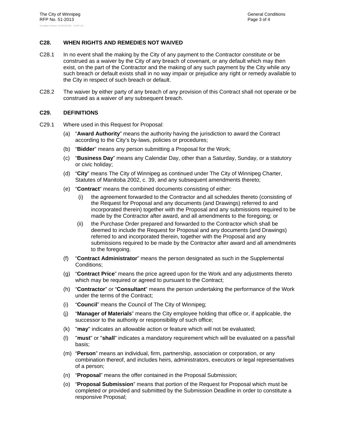#### **C28. WHEN RIGHTS AND REMEDIES NOT WAIVED**

- C28.1 In no event shall the making by the City of any payment to the Contractor constitute or be construed as a waiver by the City of any breach of covenant, or any default which may then exist, on the part of the Contractor and the making of any such payment by the City while any such breach or default exists shall in no way impair or prejudice any right or remedy available to the City in respect of such breach or default.
- C28.2 The waiver by either party of any breach of any provision of this Contract shall not operate or be construed as a waiver of any subsequent breach.

#### **C29. DEFINITIONS**

- C29.1 Where used in this Request for Proposal:
	- (a) "**Award Authority**" means the authority having the jurisdiction to award the Contract according to the City's by-laws, policies or procedures;
	- (b) "**Bidder**" means any person submitting a Proposal for the Work;
	- (c) "**Business Day**" means any Calendar Day, other than a Saturday, Sunday, or a statutory or civic holiday;
	- (d) "**City**" means The City of Winnipeg as continued under The City of Winnipeg Charter, Statutes of Manitoba 2002, c. 39, and any subsequent amendments thereto;
	- (e) "**Contract**" means the combined documents consisting of either:
		- (i) the agreement forwarded to the Contractor and all schedules thereto (consisting of the Request for Proposal and any documents (and Drawings) referred to and incorporated therein) together with the Proposal and any submissions required to be made by the Contractor after award, and all amendments to the foregoing; or
		- (ii) the Purchase Order prepared and forwarded to the Contractor which shall be deemed to include the Request for Proposal and any documents (and Drawings) referred to and incorporated therein, together with the Proposal and any submissions required to be made by the Contractor after award and all amendments to the foregoing.
	- (f) "**Contract Administrator**" means the person designated as such in the Supplemental Conditions;
	- (g) "**Contract Price**" means the price agreed upon for the Work and any adjustments thereto which may be required or agreed to pursuant to the Contract;
	- (h) "**Contractor**" or "**Consultant**" means the person undertaking the performance of the Work under the terms of the Contract;
	- (i) "**Council**" means the Council of The City of Winnipeg;
	- (j) "**Manager of Materials**" means the City employee holding that office or, if applicable, the successor to the authority or responsibility of such office;
	- (k) "**may**" indicates an allowable action or feature which will not be evaluated;
	- (l) "**must**" or "**shall**" indicates a mandatory requirement which will be evaluated on a pass/fail basis;
	- (m) "**Person**" means an individual, firm, partnership, association or corporation, or any combination thereof, and includes heirs, administrators, executors or legal representatives of a person;
	- (n) "**Proposal**" means the offer contained in the Proposal Submission;
	- (o) "**Proposal Submission**" means that portion of the Request for Proposal which must be completed or provided and submitted by the Submission Deadline in order to constitute a responsive Proposal;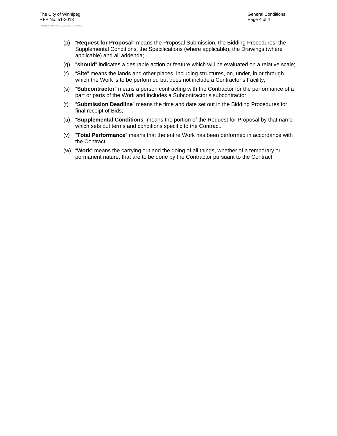- (p) "**Request for Proposal**" means the Proposal Submission, the Bidding Procedures, the Supplemental Conditions, the Specifications (where applicable), the Drawings (where applicable) and all addenda;
- (q) "**should**" indicates a desirable action or feature which will be evaluated on a relative scale;
- (r) "**Site**" means the lands and other places, including structures, on, under, in or through which the Work is to be performed but does not include a Contractor's Facility;
- (s) "**Subcontractor**" means a person contracting with the Contractor for the performance of a part or parts of the Work and includes a Subcontractor's subcontractor;
- (t) "**Submission Deadline**" means the time and date set out in the Bidding Procedures for final receipt of Bids;
- (u) "**Supplemental Conditions**" means the portion of the Request for Proposal by that name which sets out terms and conditions specific to the Contract.
- (v) "**Total Performance**" means that the entire Work has been performed in accordance with the Contract;
- (w) "**Work**" means the carrying out and the doing of all things, whether of a temporary or permanent nature, that are to be done by the Contractor pursuant to the Contract.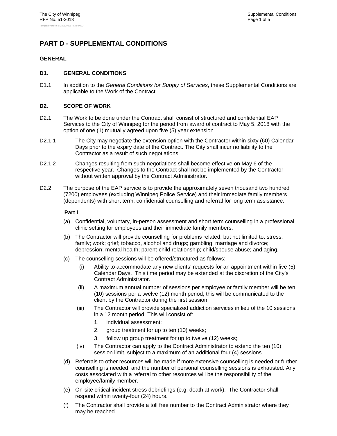## **PART D - SUPPLEMENTAL CONDITIONS**

#### **GENERAL**

#### **D1. GENERAL CONDITIONS**

D1.1 In addition to the *General Conditions for Supply of Services*, these Supplemental Conditions are applicable to the Work of the Contract.

#### **D2. SCOPE OF WORK**

- D2.1 The Work to be done under the Contract shall consist of structured and confidential EAP Services to the City of Winnipeg for the period from award of contract to May 5, 2018 with the option of one (1) mutually agreed upon five (5) year extension.
- D2.1.1 The City may negotiate the extension option with the Contractor within sixty (60) Calendar Days prior to the expiry date of the Contract. The City shall incur no liability to the Contractor as a result of such negotiations.
- D2.1.2 Changes resulting from such negotiations shall become effective on May 6 of the respective year. Changes to the Contract shall not be implemented by the Contractor without written approval by the Contract Administrator.
- D2.2 The purpose of the EAP service is to provide the approximately seven thousand two hundred (7200) employees (excluding Winnipeg Police Service) and their immediate family members (dependents) with short term, confidential counselling and referral for long term assistance.

#### **Part I**

- (a) Confidential, voluntary, in-person assessment and short term counselling in a professional clinic setting for employees and their immediate family members.
- (b) The Contractor will provide counselling for problems related, but not limited to: stress; family; work; grief; tobacco, alcohol and drugs; gambling; marriage and divorce; depression; mental health; parent-child relationship; child/spouse abuse; and aging.
- (c) The counselling sessions will be offered/structured as follows:
	- (i) Ability to accommodate any new clients' requests for an appointment within five (5) Calendar Days. This time period may be extended at the discretion of the City's Contract Administrator.
	- (ii) A maximum annual number of sessions per employee or family member will be ten (10) sessions per a twelve (12) month period; this will be communicated to the client by the Contractor during the first session;
	- (iii) The Contractor will provide specialized addiction services in lieu of the 10 sessions in a 12 month period. This will consist of:
		- 1. individual assessment;
		- 2. group treatment for up to ten (10) weeks;
		- 3. follow up group treatment for up to twelve (12) weeks;
	- (iv) The Contractor can apply to the Contract Administrator to extend the ten (10) session limit, subject to a maximum of an additional four (4) sessions.
- (d) Referrals to other resources will be made if more extensive counselling is needed or further counselling is needed, and the number of personal counselling sessions is exhausted. Any costs associated with a referral to other resources will be the responsibility of the employee/family member.
- (e) On-site critical incident stress debriefings (e.g. death at work). The Contractor shall respond within twenty-four (24) hours.
- (f) The Contractor shall provide a toll free number to the Contract Administrator where they may be reached.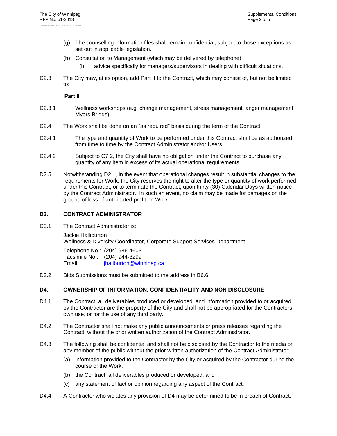- (g) The counselling information files shall remain confidential, subject to those exceptions as set out in applicable legislation.
- (h) Consultation to Management (which may be delivered by telephone);
	- (i) advice specifically for managers/supervisors in dealing with difficult situations.
- D2.3 The City may, at its option, add Part II to the Contract, which may consist of, but not be limited to:

**Part II** 

- D2.3.1 Wellness workshops (e.g. change management, stress management, anger management, Myers Briggs);
- D2.4 The Work shall be done on an "as required" basis during the term of the Contract.
- D2.4.1 The type and quantity of Work to be performed under this Contract shall be as authorized from time to time by the Contract Administrator and/or Users.
- D2.4.2 Subject to C7.2, the City shall have no obligation under the Contract to purchase any quantity of any item in excess of its actual operational requirements.
- D2.5 Notwithstanding D2.1, in the event that operational changes result in substantial changes to the requirements for Work, the City reserves the right to alter the type or quantity of work performed under this Contract, or to terminate the Contract, upon thirty (30) Calendar Days written notice by the Contract Administrator. In such an event, no claim may be made for damages on the ground of loss of anticipated profit on Work.

#### **D3. CONTRACT ADMINISTRATOR**

D3.1 The Contract Administrator is:

Jackie Halliburton Wellness & Diversity Coordinator, Corporate Support Services Department

Telephone No.: (204) 986-4603 Facsimile No.: (204) 944-3299 Email: jhaliburton@winnipeg.ca

D3.2 Bids Submissions must be submitted to the address in B6.6.

#### **D4. OWNERSHIP OF INFORMATION, CONFIDENTIALITY AND NON DISCLOSURE**

- D4.1 The Contract, all deliverables produced or developed, and information provided to or acquired by the Contractor are the property of the City and shall not be appropriated for the Contractors own use, or for the use of any third party.
- D4.2 The Contractor shall not make any public announcements or press releases regarding the Contract, without the prior written authorization of the Contract Administrator.
- D4.3 The following shall be confidential and shall not be disclosed by the Contractor to the media or any member of the public without the prior written authorization of the Contract Administrator;
	- (a) information provided to the Contractor by the City or acquired by the Contractor during the course of the Work;
	- (b) the Contract, all deliverables produced or developed; and
	- (c) any statement of fact or opinion regarding any aspect of the Contract.
- D4.4 A Contractor who violates any provision of D4 may be determined to be in breach of Contract.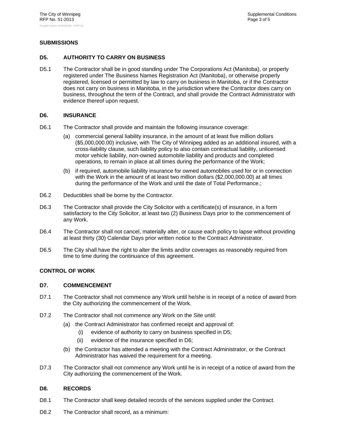#### **SUBMISSIONS**

#### **D5. AUTHORITY TO CARRY ON BUSINESS**

D5.1 The Contractor shall be in good standing under The Corporations Act (Manitoba), or properly registered under The Business Names Registration Act (Manitoba), or otherwise properly registered, licensed or permitted by law to carry on business in Manitoba, or if the Contractor does not carry on business in Manitoba, in the jurisdiction where the Contractor does carry on business, throughout the term of the Contract, and shall provide the Contract Administrator with evidence thereof upon request.

#### **D6. INSURANCE**

- D6.1 The Contractor shall provide and maintain the following insurance coverage:
	- (a) commercial general liability insurance, in the amount of at least five million dollars (\$5,000,000.00) inclusive, with The City of Winnipeg added as an additional insured, with a cross-liability clause, such liability policy to also contain contractual liability, unlicensed motor vehicle liability, non-owned automobile liability and products and completed operations, to remain in place at all times during the performance of the Work;
	- (b) if required, automobile liability insurance for owned automobiles used for or in connection with the Work in the amount of at least two million dollars (\$2,000,000.00) at all times during the performance of the Work and until the date of Total Performance.;
- D6.2 Deductibles shall be borne by the Contractor.
- D6.3 The Contractor shall provide the City Solicitor with a certificate(s) of insurance, in a form satisfactory to the City Solicitor, at least two (2) Business Days prior to the commencement of any Work.
- D6.4 The Contractor shall not cancel, materially alter, or cause each policy to lapse without providing at least thirty (30) Calendar Days prior written notice to the Contract Administrator.
- D6.5 The City shall have the right to alter the limits and/or coverages as reasonably required from time to time during the continuance of this agreement.

#### **CONTROL OF WORK**

#### **D7. COMMENCEMENT**

- D7.1 The Contractor shall not commence any Work until he/she is in receipt of a notice of award from the City authorizing the commencement of the Work.
- D7.2 The Contractor shall not commence any Work on the Site until:
	- (a) the Contract Administrator has confirmed receipt and approval of:
		- (i) evidence of authority to carry on business specified in D5;
		- (ii) evidence of the insurance specified in D6;
	- (b) the Contractor has attended a meeting with the Contract Administrator, or the Contract Administrator has waived the requirement for a meeting.
- D7.3 The Contractor shall not commence any Work until he is in receipt of a notice of award from the City authorizing the commencement of the Work.

#### **D8. RECORDS**

- D8.1 The Contractor shall keep detailed records of the services supplied under the Contract.
- D8.2 The Contractor shall record, as a minimum: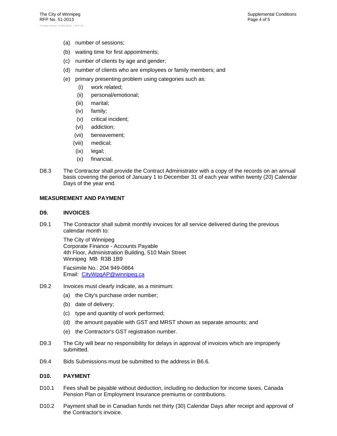- (a) number of sessions;
- (b) waiting time for first appointments;
- (c) number of clients by age and gender;
- (d) number of clients who are employees or family members; and
- (e) primary presenting problem using categories such as:
	- (i) work related;
	- (ii) personal/emotional;
	- (iii) marital;
	- (iv) family;
	- (v) critical incident;
	- (vi) addiction;
	- (vii) bereavement;
	- (viii) medical;
	- (ix) legal;
	- (x) financial.
- D8.3 The Contractor shall provide the Contract Administrator with a copy of the records on an annual basis covering the period of January 1 to December 31 of each year within twenty (20) Calendar Days of the year end.

#### **MEASUREMENT AND PAYMENT**

#### **D9. INVOICES**

D9.1 The Contractor shall submit monthly invoices for all service delivered during the previous calendar month to:

The City of Winnipeg Corporate Finance - Accounts Payable 4th Floor, Administration Building, 510 Main Street Winnipeg MB R3B 1B9

Facsimile No.: 204 949-0864 Email: CityWpgAP@winnipeg.ca

- D9.2 Invoices must clearly indicate, as a minimum:
	- (a) the City's purchase order number;
	- (b) date of delivery;
	- (c) type and quantity of work performed;
	- (d) the amount payable with GST and MRST shown as separate amounts; and
	- (e) the Contractor's GST registration number.
- D9.3 The City will bear no responsibility for delays in approval of invoices which are improperly submitted.
- D9.4 Bids Submissions must be submitted to the address in B6.6.

#### **D10. PAYMENT**

- D10.1 Fees shall be payable without deduction, including no deduction for income taxes, Canada Pension Plan or Employment Insurance premiums or contributions.
- D10.2 Payment shall be in Canadian funds net thirty (30) Calendar Days after receipt and approval of the Contractor's invoice.